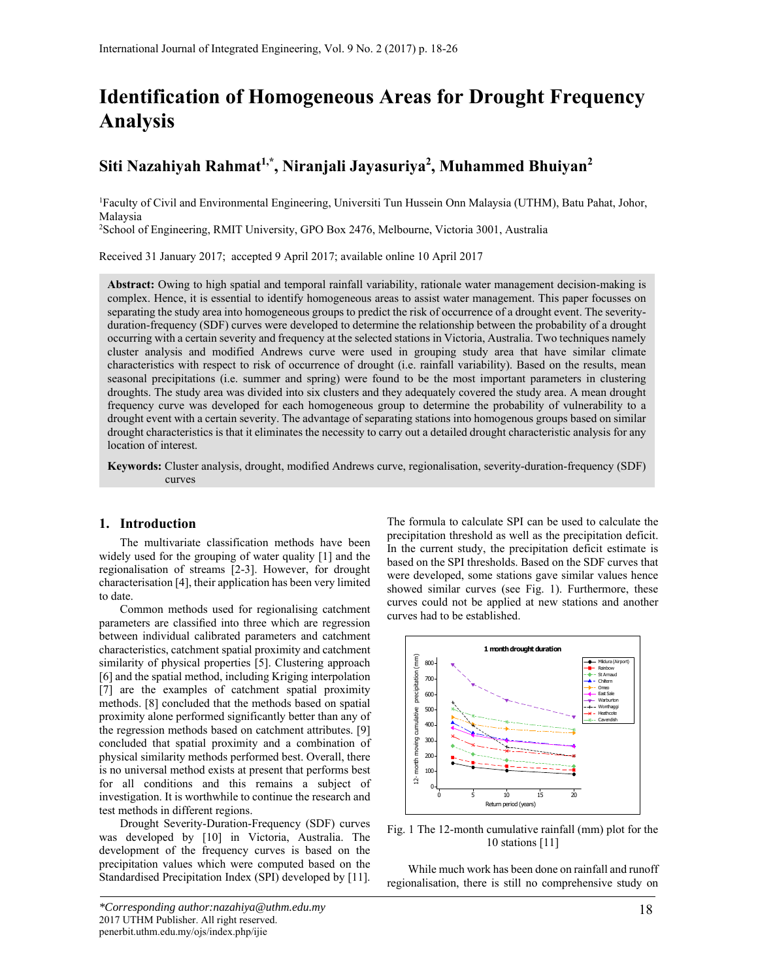# **Identification of Homogeneous Areas for Drought Frequency Analysis**

# **Siti Nazahiyah Rahmat1,\*, Niranjali Jayasuriya2 , Muhammed Bhuiyan<sup>2</sup>**

1 Faculty of Civil and Environmental Engineering, Universiti Tun Hussein Onn Malaysia (UTHM), Batu Pahat, Johor, Malaysia

2 School of Engineering, RMIT University, GPO Box 2476, Melbourne, Victoria 3001, Australia

Received 31 January 2017; accepted 9 April 2017; available online 10 April 2017

**Abstract:** Owing to high spatial and temporal rainfall variability, rationale water management decision-making is complex. Hence, it is essential to identify homogeneous areas to assist water management. This paper focusses on separating the study area into homogeneous groups to predict the risk of occurrence of a drought event. The severityduration-frequency (SDF) curves were developed to determine the relationship between the probability of a drought occurring with a certain severity and frequency at the selected stations in Victoria, Australia. Two techniques namely cluster analysis and modified Andrews curve were used in grouping study area that have similar climate characteristics with respect to risk of occurrence of drought (i.e. rainfall variability). Based on the results, mean seasonal precipitations (i.e. summer and spring) were found to be the most important parameters in clustering droughts. The study area was divided into six clusters and they adequately covered the study area. A mean drought frequency curve was developed for each homogeneous group to determine the probability of vulnerability to a drought event with a certain severity. The advantage of separating stations into homogenous groups based on similar drought characteristics is that it eliminates the necessity to carry out a detailed drought characteristic analysis for any location of interest.

**Keywords:** Cluster analysis, drought, modified Andrews curve, regionalisation, severity-duration-frequency (SDF) curves

### **1. Introduction**

The multivariate classification methods have been widely used for the grouping of water quality [1] and the regionalisation of streams [2-3]. However, for drought characterisation [4], their application has been very limited to date.

Common methods used for regionalising catchment parameters are classified into three which are regression between individual calibrated parameters and catchment characteristics, catchment spatial proximity and catchment similarity of physical properties [5]. Clustering approach [6] and the spatial method, including Kriging interpolation [7] are the examples of catchment spatial proximity methods. [8] concluded that the methods based on spatial proximity alone performed significantly better than any of the regression methods based on catchment attributes. [9] concluded that spatial proximity and a combination of physical similarity methods performed best. Overall, there is no universal method exists at present that performs best for all conditions and this remains a subject of investigation. It is worthwhile to continue the research and test methods in different regions.

Drought Severity-Duration-Frequency (SDF) curves was developed by [10] in Victoria, Australia. The development of the frequency curves is based on the precipitation values which were computed based on the Standardised Precipitation Index (SPI) developed by [11]. The formula to calculate SPI can be used to calculate the precipitation threshold as well as the precipitation deficit. In the current study, the precipitation deficit estimate is based on the SPI thresholds. Based on the SDF curves that were developed, some stations gave similar values hence showed similar curves (see Fig. 1). Furthermore, these curves could not be applied at new stations and another curves had to be established.



Fig. 1 The 12-month cumulative rainfall (mm) plot for the 10 stations [11]

While much work has been done on rainfall and runoff regionalisation, there is still no comprehensive study on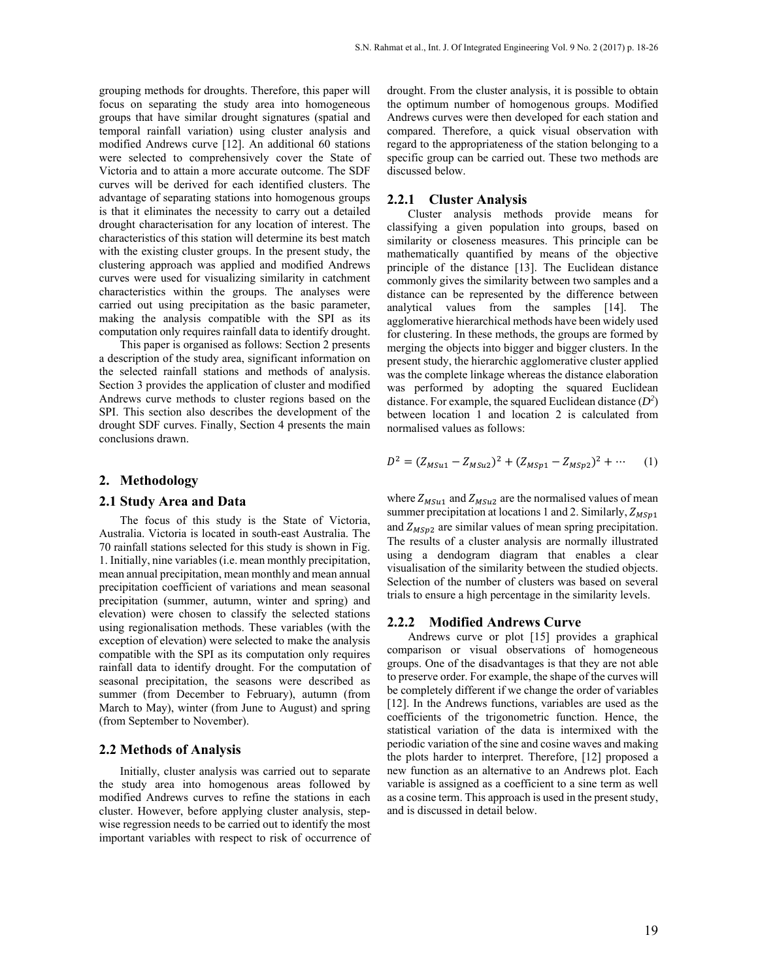grouping methods for droughts. Therefore, this paper will focus on separating the study area into homogeneous groups that have similar drought signatures (spatial and temporal rainfall variation) using cluster analysis and modified Andrews curve [12]. An additional 60 stations were selected to comprehensively cover the State of Victoria and to attain a more accurate outcome. The SDF curves will be derived for each identified clusters. The advantage of separating stations into homogenous groups is that it eliminates the necessity to carry out a detailed drought characterisation for any location of interest. The characteristics of this station will determine its best match with the existing cluster groups. In the present study, the clustering approach was applied and modified Andrews curves were used for visualizing similarity in catchment characteristics within the groups. The analyses were carried out using precipitation as the basic parameter, making the analysis compatible with the SPI as its computation only requires rainfall data to identify drought.

This paper is organised as follows: Section 2 presents a description of the study area, significant information on the selected rainfall stations and methods of analysis. Section 3 provides the application of cluster and modified Andrews curve methods to cluster regions based on the SPI. This section also describes the development of the drought SDF curves. Finally, Section 4 presents the main conclusions drawn.

#### **2. Methodology**

#### **2.1 Study Area and Data**

The focus of this study is the State of Victoria, Australia. Victoria is located in south-east Australia. The 70 rainfall stations selected for this study is shown in Fig. 1. Initially, nine variables (i.e. mean monthly precipitation, mean annual precipitation, mean monthly and mean annual precipitation coefficient of variations and mean seasonal precipitation (summer, autumn, winter and spring) and elevation) were chosen to classify the selected stations using regionalisation methods. These variables (with the exception of elevation) were selected to make the analysis compatible with the SPI as its computation only requires rainfall data to identify drought. For the computation of seasonal precipitation, the seasons were described as summer (from December to February), autumn (from March to May), winter (from June to August) and spring (from September to November).

#### **2.2 Methods of Analysis**

Initially, cluster analysis was carried out to separate the study area into homogenous areas followed by modified Andrews curves to refine the stations in each cluster. However, before applying cluster analysis, stepwise regression needs to be carried out to identify the most important variables with respect to risk of occurrence of drought. From the cluster analysis, it is possible to obtain the optimum number of homogenous groups. Modified Andrews curves were then developed for each station and compared. Therefore, a quick visual observation with regard to the appropriateness of the station belonging to a specific group can be carried out. These two methods are discussed below.

#### **2.2.1 Cluster Analysis**

Cluster analysis methods provide means for classifying a given population into groups, based on similarity or closeness measures. This principle can be mathematically quantified by means of the objective principle of the distance [13]. The Euclidean distance commonly gives the similarity between two samples and a distance can be represented by the difference between analytical values from the samples [14]. The agglomerative hierarchical methods have been widely used for clustering. In these methods, the groups are formed by merging the objects into bigger and bigger clusters. In the present study, the hierarchic agglomerative cluster applied was the complete linkage whereas the distance elaboration was performed by adopting the squared Euclidean distance. For example, the squared Euclidean distance (*D2* ) between location 1 and location 2 is calculated from normalised values as follows:

$$
D^{2} = (Z_{MSu1} - Z_{MSu2})^{2} + (Z_{MSp1} - Z_{MSp2})^{2} + \cdots \qquad (1)
$$

where  $Z_{MSu1}$  and  $Z_{MSu2}$  are the normalised values of mean summer precipitation at locations 1 and 2. Similarly,  $Z_{MSp1}$ and  $Z_{MSn2}$  are similar values of mean spring precipitation. The results of a cluster analysis are normally illustrated using a dendogram diagram that enables a clear visualisation of the similarity between the studied objects. Selection of the number of clusters was based on several trials to ensure a high percentage in the similarity levels.

#### **2.2.2 Modified Andrews Curve**

Andrews curve or plot [15] provides a graphical comparison or visual observations of homogeneous groups. One of the disadvantages is that they are not able to preserve order. For example, the shape of the curves will be completely different if we change the order of variables [12]. In the Andrews functions, variables are used as the coefficients of the trigonometric function. Hence, the statistical variation of the data is intermixed with the periodic variation of the sine and cosine waves and making the plots harder to interpret. Therefore, [12] proposed a new function as an alternative to an Andrews plot. Each variable is assigned as a coefficient to a sine term as well as a cosine term. This approach is used in the present study, and is discussed in detail below.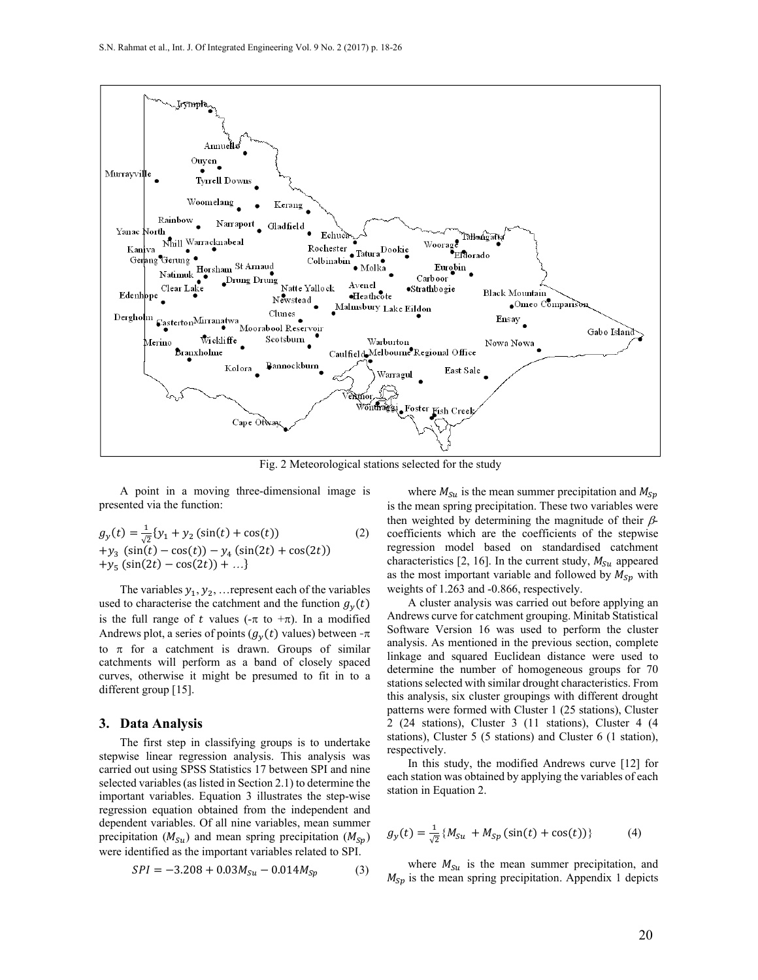

Fig. 2 Meteorological stations selected for the study

A point in a moving three-dimensional image is presented via the function:

$$
g_y(t) = \frac{1}{\sqrt{2}} \{y_1 + y_2 (\sin(t) + \cos(t))
$$
  
+ $y_3 (\sin(t) - \cos(t)) - y_4 (\sin(2t) + \cos(2t))$   
+ $y_5 (\sin(2t) - \cos(2t)) + ...$ } (2)

The variables  $y_1, y_2, \ldots$  represent each of the variables used to characterise the catchment and the function  $g<sub>\nu</sub>(t)$ is the full range of t values  $(-\pi \text{ to } +\pi)$ . In a modified Andrews plot, a series of points  $(g<sub>v</sub>(t)$  values) between - $\pi$ to  $\pi$  for a catchment is drawn. Groups of similar catchments will perform as a band of closely spaced curves, otherwise it might be presumed to fit in to a different group [15].

#### **3. Data Analysis**

 The first step in classifying groups is to undertake stepwise linear regression analysis. This analysis was carried out using SPSS Statistics 17 between SPI and nine selected variables (as listed in Section 2.1) to determine the important variables. Equation 3 illustrates the step-wise regression equation obtained from the independent and dependent variables. Of all nine variables, mean summer precipitation ( $M_{su}$ ) and mean spring precipitation ( $M_{sp}$ ) were identified as the important variables related to SPI.

$$
SPI = -3.208 + 0.03M_{Su} - 0.014M_{Sp} \tag{3}
$$

where  $M_{\text{S}u}$  is the mean summer precipitation and  $M_{\text{S}v}$ is the mean spring precipitation. These two variables were then weighted by determining the magnitude of their  $\beta$ coefficients which are the coefficients of the stepwise regression model based on standardised catchment characteristics [2, 16]. In the current study,  $M_{S1}$  appeared as the most important variable and followed by  $M_{Sp}$  with weights of 1.263 and -0.866, respectively.

A cluster analysis was carried out before applying an Andrews curve for catchment grouping. Minitab Statistical Software Version 16 was used to perform the cluster analysis. As mentioned in the previous section, complete linkage and squared Euclidean distance were used to determine the number of homogeneous groups for 70 stations selected with similar drought characteristics. From this analysis, six cluster groupings with different drought patterns were formed with Cluster 1 (25 stations), Cluster 2 (24 stations), Cluster 3 (11 stations), Cluster 4 (4 stations), Cluster 5 (5 stations) and Cluster 6 (1 station), respectively.

In this study, the modified Andrews curve [12] for each station was obtained by applying the variables of each station in Equation 2.

$$
g_y(t) = \frac{1}{\sqrt{2}} \{ M_{Su} + M_{Sp} \left( \sin(t) + \cos(t) \right) \}
$$
 (4)

where  $M_{\text{su}}$  is the mean summer precipitation, and  $M_{Sp}$  is the mean spring precipitation. Appendix 1 depicts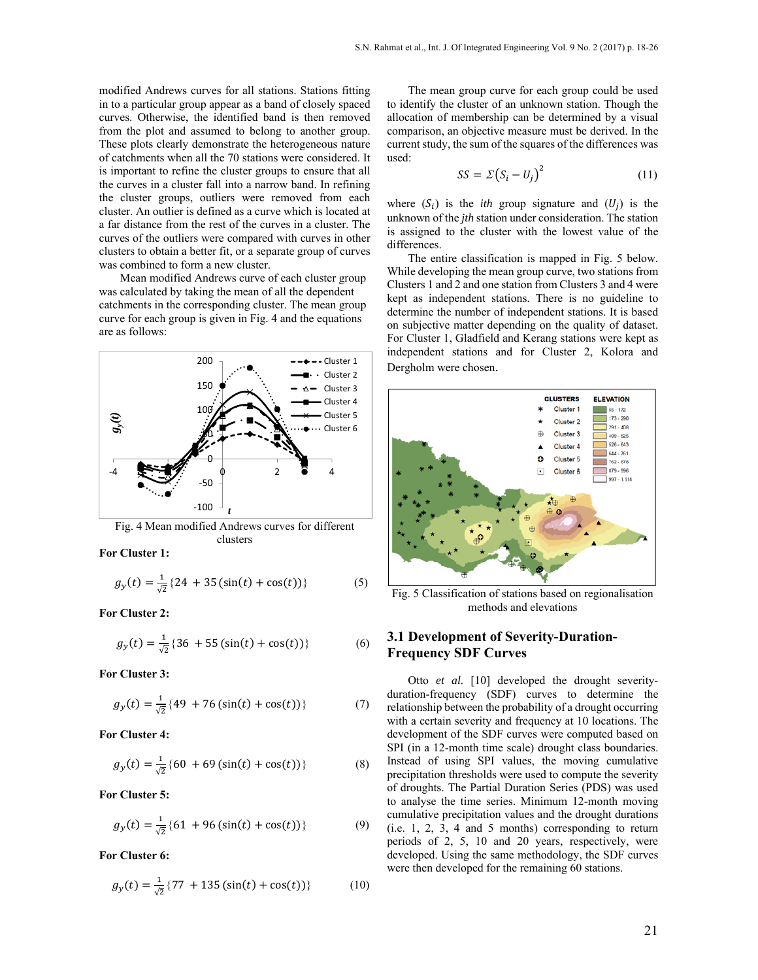modified Andrews curves for all stations. Stations fitting in to a particular group appear as a band of closely spaced curves. Otherwise, the identified band is then removed from the plot and assumed to belong to another group. These plots clearly demonstrate the heterogeneous nature of catchments when all the 70 stations were considered. It is important to refine the cluster groups to ensure that all the curves in a cluster fall into a narrow band. In refining the cluster groups, outliers were removed from each cluster. An outlier is defined as a curve which is located at a far distance from the rest of the curves in a cluster. The curves of the outliers were compared with curves in other clusters to obtain a better fit, or a separate group of curves was combined to form a new cluster.

Mean modified Andrews curve of each cluster group was calculated by taking the mean of all the dependent catchments in the corresponding cluster. The mean group curve for each group is given in Fig. 4 and the equations are as follows:



Fig. 4 Mean modified Andrews curves for different clusters

**For Cluster 1:** 

$$
g_y(t) = \frac{1}{\sqrt{2}} \{ 24 + 35 \left( \sin(t) + \cos(t) \right) \}
$$
 (5)

**For Cluster 2:** 

$$
g_y(t) = \frac{1}{\sqrt{2}} \{36 + 55\left(\sin(t) + \cos(t)\right)\}\tag{6}
$$

**For Cluster 3:** 

$$
g_y(t) = \frac{1}{\sqrt{2}} \{49 + 76\left(\sin(t) + \cos(t)\right)\}\tag{7}
$$

**For Cluster 4:** 

$$
g_y(t) = \frac{1}{\sqrt{2}} \{60 + 69\left(\sin(t) + \cos(t)\right)\}\tag{8}
$$

**For Cluster 5:** 

$$
g_y(t) = \frac{1}{\sqrt{2}} \{61 + 96\left(\sin(t) + \cos(t)\right)\}\tag{9}
$$

**For Cluster 6:** 

$$
g_y(t) = \frac{1}{\sqrt{2}} \{ 77 + 135 \left( \sin(t) + \cos(t) \right) \} \tag{10}
$$

The mean group curve for each group could be used to identify the cluster of an unknown station. Though the allocation of membership can be determined by a visual comparison, an objective measure must be derived. In the current study, the sum of the squares of the differences was used:

$$
SS = \Sigma (S_i - U_j)^2 \tag{11}
$$

where  $(S_i)$  is the *ith* group signature and  $(U_i)$  is the unknown of the *jth* station under consideration. The station is assigned to the cluster with the lowest value of the differences.

The entire classification is mapped in Fig. 5 below. While developing the mean group curve, two stations from Clusters 1 and 2 and one station from Clusters 3 and 4 were kept as independent stations. There is no guideline to determine the number of independent stations. It is based on subjective matter depending on the quality of dataset. For Cluster 1, Gladfield and Kerang stations were kept as independent stations and for Cluster 2, Kolora and Dergholm were chosen.



Fig. 5 Classification of stations based on regionalisation methods and elevations

## **3.1 Development of Severity-Duration-Frequency SDF Curves**

Otto *et al.* [10] developed the drought severityduration-frequency (SDF) curves to determine the relationship between the probability of a drought occurring with a certain severity and frequency at 10 locations. The development of the SDF curves were computed based on SPI (in a 12-month time scale) drought class boundaries. Instead of using SPI values, the moving cumulative precipitation thresholds were used to compute the severity of droughts. The Partial Duration Series (PDS) was used to analyse the time series. Minimum 12-month moving cumulative precipitation values and the drought durations (i.e. 1, 2, 3, 4 and 5 months) corresponding to return periods of 2, 5, 10 and 20 years, respectively, were developed. Using the same methodology, the SDF curves were then developed for the remaining 60 stations.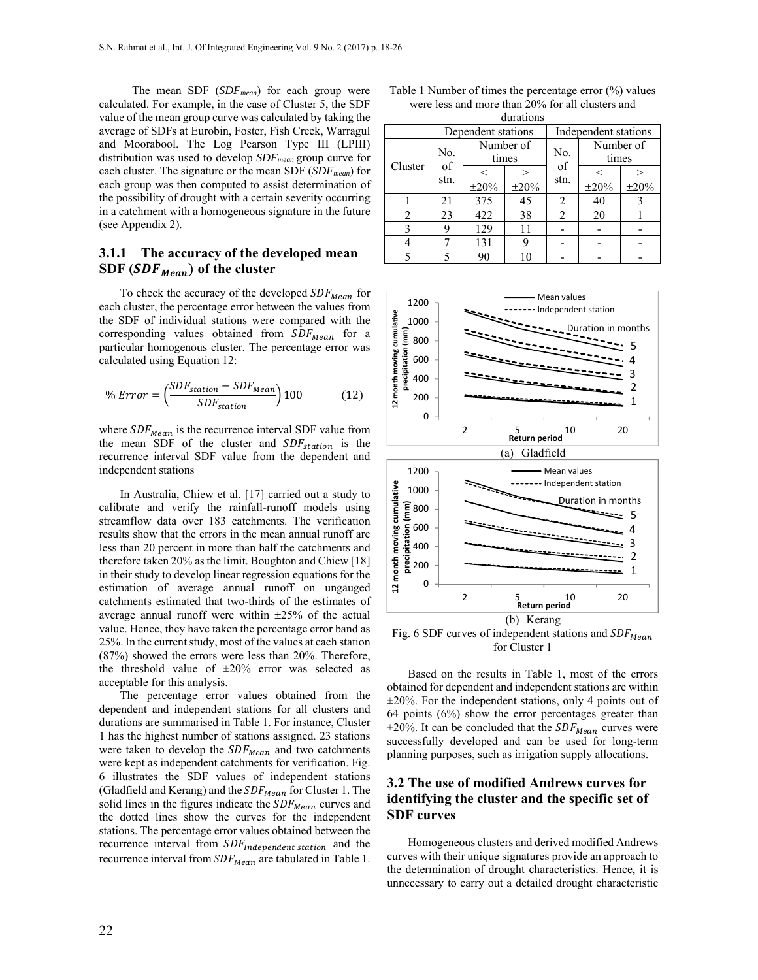The mean SDF (*SDFmean*) for each group were calculated. For example, in the case of Cluster 5, the SDF value of the mean group curve was calculated by taking the average of SDFs at Eurobin, Foster, Fish Creek, Warragul and Moorabool. The Log Pearson Type III (LPIII) distribution was used to develop *SDFmean* group curve for each cluster. The signature or the mean SDF (*SDFmean*) for each group was then computed to assist determination of the possibility of drought with a certain severity occurring in a catchment with a homogeneous signature in the future (see Appendix 2).

# **3.1.1 The accuracy of the developed mean SDF (SDF<sub>Mean</sub>) of the cluster**

To check the accuracy of the developed  $SDF_{Mean}$  for each cluster, the percentage error between the values from the SDF of individual stations were compared with the corresponding values obtained from  $SDF_{Mean}$  for a particular homogenous cluster. The percentage error was calculated using Equation 12:

$$
\% Error = \left(\frac{SDF_{station} - SDF_{Mean}}{SDF_{station}}\right)100\tag{12}
$$

where  $SDF_{Mean}$  is the recurrence interval SDF value from the mean SDF of the cluster and  $SDF_{station}$  is the recurrence interval SDF value from the dependent and independent stations

In Australia, Chiew et al. [17] carried out a study to calibrate and verify the rainfall-runoff models using streamflow data over 183 catchments. The verification results show that the errors in the mean annual runoff are less than 20 percent in more than half the catchments and therefore taken 20% as the limit. Boughton and Chiew [18] in their study to develop linear regression equations for the estimation of average annual runoff on ungauged catchments estimated that two-thirds of the estimates of average annual runoff were within  $\pm 25\%$  of the actual value. Hence, they have taken the percentage error band as 25%. In the current study, most of the values at each station (87%) showed the errors were less than 20%. Therefore, the threshold value of  $\pm 20\%$  error was selected as acceptable for this analysis.

The percentage error values obtained from the dependent and independent stations for all clusters and durations are summarised in Table 1. For instance, Cluster 1 has the highest number of stations assigned. 23 stations were taken to develop the  $SDF_{Mean}$  and two catchments were kept as independent catchments for verification. Fig. 6 illustrates the SDF values of independent stations (Gladfield and Kerang) and the  $SDF_{Mean}$  for Cluster 1. The solid lines in the figures indicate the  $SDF_{Mean}$  curves and the dotted lines show the curves for the independent stations. The percentage error values obtained between the recurrence interval from  $SDF_{Independent\; station}$  and the recurrence interval from  $SDF_{Mean}$  are tabulated in Table 1.

Table 1 Number of times the percentage error (%) values were less and more than 20% for all clusters and durations

| uurativiis    |                    |                    |            |                      |                    |            |
|---------------|--------------------|--------------------|------------|----------------------|--------------------|------------|
|               | Dependent stations |                    |            | Independent stations |                    |            |
| Cluster       | No.<br>of<br>stn.  | Number of<br>times |            | No.                  | Number of<br>times |            |
|               |                    |                    |            | of<br>stn.           |                    |            |
|               |                    | $\pm 20\%$         | $\pm 20\%$ |                      | $\pm 20\%$         | $\pm 20\%$ |
|               | 21                 | 375                | 45         | 2                    | 40                 |            |
| 2             | 23                 | 422                | 38         | 2                    | 20                 |            |
| $\mathcal{F}$ | 9                  | 129                | 11         |                      |                    |            |
|               |                    | 131                | g          |                      |                    |            |
|               |                    | 90                 | 10         |                      |                    |            |



for Cluster 1

Based on the results in Table 1, most of the errors obtained for dependent and independent stations are within  $\pm 20\%$ . For the independent stations, only 4 points out of 64 points (6%) show the error percentages greater than  $\pm 20\%$ . It can be concluded that the  $SDF_{Mean}$  curves were successfully developed and can be used for long-term planning purposes, such as irrigation supply allocations.

# **3.2 The use of modified Andrews curves for identifying the cluster and the specific set of SDF curves**

Homogeneous clusters and derived modified Andrews curves with their unique signatures provide an approach to the determination of drought characteristics. Hence, it is unnecessary to carry out a detailed drought characteristic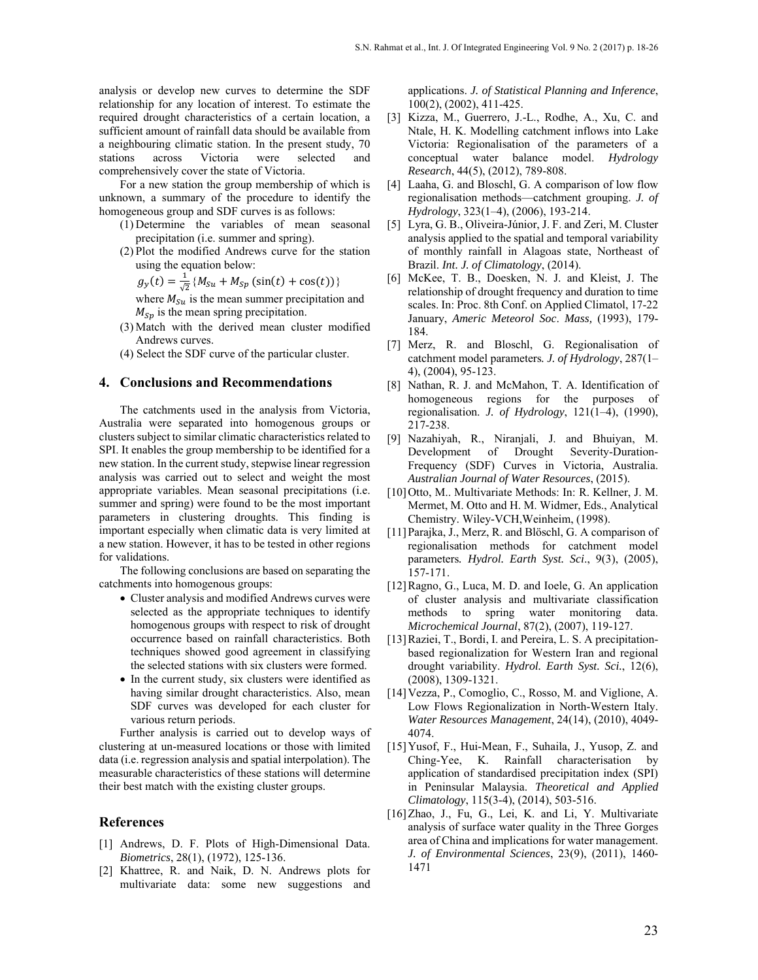analysis or develop new curves to determine the SDF relationship for any location of interest. To estimate the required drought characteristics of a certain location, a sufficient amount of rainfall data should be available from a neighbouring climatic station. In the present study, 70 stations across Victoria were selected and comprehensively cover the state of Victoria.

For a new station the group membership of which is unknown, a summary of the procedure to identify the homogeneous group and SDF curves is as follows:

- (1) Determine the variables of mean seasonal precipitation (i.e. summer and spring).
- (2) Plot the modified Andrews curve for the station using the equation below:

 $g_y(t) = \frac{1}{\sqrt{2}} \{ M_{Su} + M_{Sp} (\sin(t) + \cos(t)) \}$ 

where  $M_{\text{S}u}$  is the mean summer precipitation and  $M_{Sp}$  is the mean spring precipitation.

- (3) Match with the derived mean cluster modified Andrews curves.
- (4) Select the SDF curve of the particular cluster.

#### **4. Conclusions and Recommendations**

The catchments used in the analysis from Victoria, Australia were separated into homogenous groups or clusters subject to similar climatic characteristics related to SPI. It enables the group membership to be identified for a new station. In the current study, stepwise linear regression analysis was carried out to select and weight the most appropriate variables. Mean seasonal precipitations (i.e. summer and spring) were found to be the most important parameters in clustering droughts. This finding is important especially when climatic data is very limited at a new station. However, it has to be tested in other regions for validations.

The following conclusions are based on separating the catchments into homogenous groups:

- Cluster analysis and modified Andrews curves were selected as the appropriate techniques to identify homogenous groups with respect to risk of drought occurrence based on rainfall characteristics. Both techniques showed good agreement in classifying the selected stations with six clusters were formed.
- In the current study, six clusters were identified as having similar drought characteristics. Also, mean SDF curves was developed for each cluster for various return periods.

Further analysis is carried out to develop ways of clustering at un-measured locations or those with limited data (i.e. regression analysis and spatial interpolation). The measurable characteristics of these stations will determine their best match with the existing cluster groups.

#### **References**

- [1] Andrews, D. F. Plots of High-Dimensional Data. *Biometrics*, 28(1), (1972), 125-136.
- [2] Khattree, R. and Naik, D. N. Andrews plots for multivariate data: some new suggestions and

applications. *J. of Statistical Planning and Inference*, 100(2), (2002), 411-425.

- [3] Kizza, M., Guerrero, J.-L., Rodhe, A., Xu, C. and Ntale, H. K. Modelling catchment inflows into Lake Victoria: Regionalisation of the parameters of a conceptual water balance model. *Hydrology Research*, 44(5), (2012), 789-808.
- [4] Laaha, G. and Bloschl, G. A comparison of low flow regionalisation methods—catchment grouping. *J. of Hydrology*, 323(1–4), (2006), 193-214.
- [5] Lyra, G. B., Oliveira-Júnior, J. F. and Zeri, M. Cluster analysis applied to the spatial and temporal variability of monthly rainfall in Alagoas state, Northeast of Brazil. *Int. J. of Climatology*, (2014).
- [6] McKee, T. B., Doesken, N. J. and Kleist, J. The relationship of drought frequency and duration to time scales. In: Proc. 8th Conf. on Applied Climatol, 17-22 January, *Americ Meteorol Soc*. *Mass,* (1993), 179- 184.
- [7] Merz, R. and Bloschl, G. Regionalisation of catchment model parameters*. J. of Hydrology*, 287(1– 4), (2004), 95-123.
- [8] Nathan, R. J. and McMahon, T. A. Identification of homogeneous regions for the purposes of regionalisation. *J. of Hydrology*, 121(1–4), (1990), 217-238.
- [9] Nazahiyah, R., Niranjali, J. and Bhuiyan, M. Development of Drought Severity-Duration-Frequency (SDF) Curves in Victoria, Australia. *Australian Journal of Water Resources*, (2015).
- [10]Otto, M.. Multivariate Methods: In: R. Kellner, J. M. Mermet, M. Otto and H. M. Widmer, Eds., Analytical Chemistry. Wiley-VCH,Weinheim, (1998).
- [11]Parajka, J., Merz, R. and Blöschl, G. A comparison of regionalisation methods for catchment model parameters*. Hydrol. Earth Syst. Sci*., 9(3), (2005), 157-171.
- [12]Ragno, G., Luca, M. D. and Ioele, G. An application of cluster analysis and multivariate classification methods to spring water monitoring data. *Microchemical Journal*, 87(2), (2007), 119-127.
- [13] Raziei, T., Bordi, I. and Pereira, L. S. A precipitationbased regionalization for Western Iran and regional drought variability. *Hydrol. Earth Syst. Sci.*, 12(6), (2008), 1309-1321.
- [14] Vezza, P., Comoglio, C., Rosso, M. and Viglione, A. Low Flows Regionalization in North-Western Italy. *Water Resources Management*, 24(14), (2010), 4049- 4074.
- [15]Yusof, F., Hui-Mean, F., Suhaila, J., Yusop, Z. and Ching-Yee, K. Rainfall characterisation by application of standardised precipitation index (SPI) in Peninsular Malaysia. *Theoretical and Applied Climatology*, 115(3-4), (2014), 503-516.
- [16]Zhao, J., Fu, G., Lei, K. and Li, Y. Multivariate analysis of surface water quality in the Three Gorges area of China and implications for water management. *J. of Environmental Sciences*, 23(9), (2011), 1460- 1471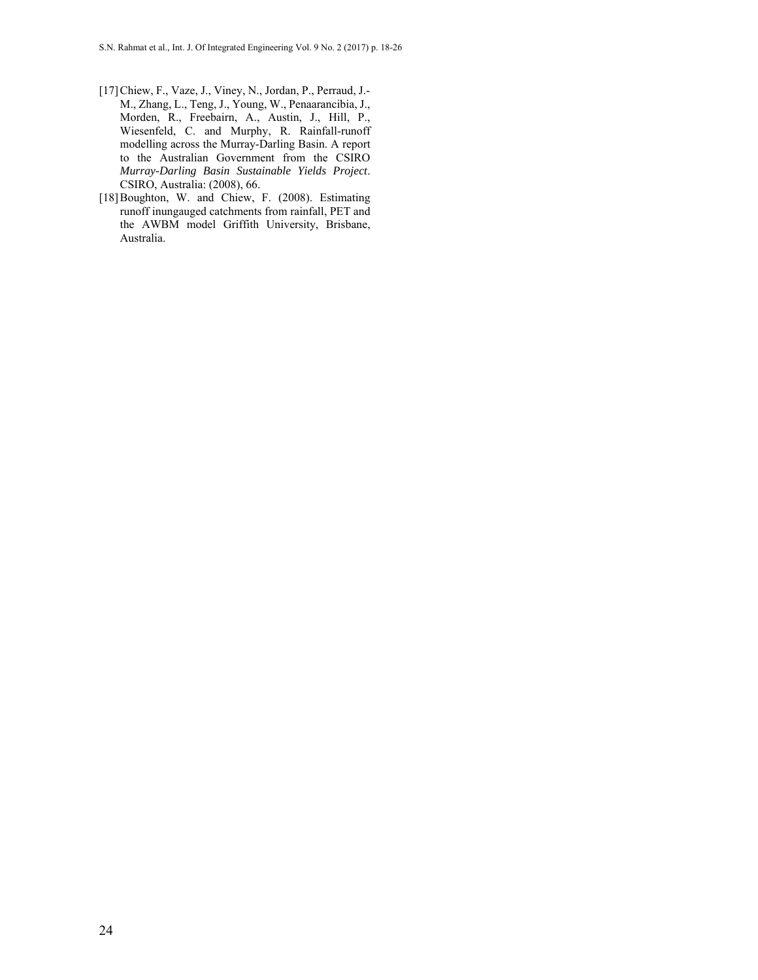- [17]Chiew, F., Vaze, J., Viney, N., Jordan, P., Perraud, J.- M., Zhang, L., Teng, J., Young, W., Penaarancibia, J., Morden, R., Freebairn, A., Austin, J., Hill, P., Wiesenfeld, C. and Murphy, R. Rainfall-runoff modelling across the Murray-Darling Basin. A report to the Australian Government from the CSIRO *Murray-Darling Basin Sustainable Yields Project*. CSIRO, Australia: (2008), 66.
- [18]Boughton, W. and Chiew, F. (2008). Estimating runoff inungauged catchments from rainfall, PET and the AWBM model Griffith University, Brisbane, Australia.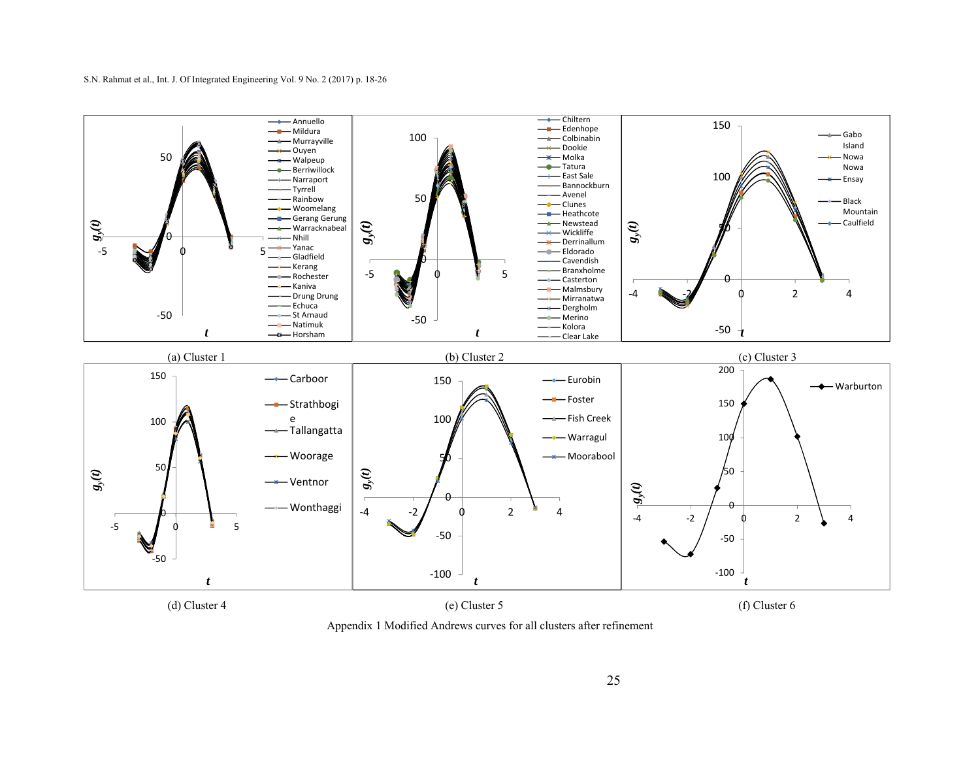

Appendix 1 Modified Andrews curves for all clusters after refinement